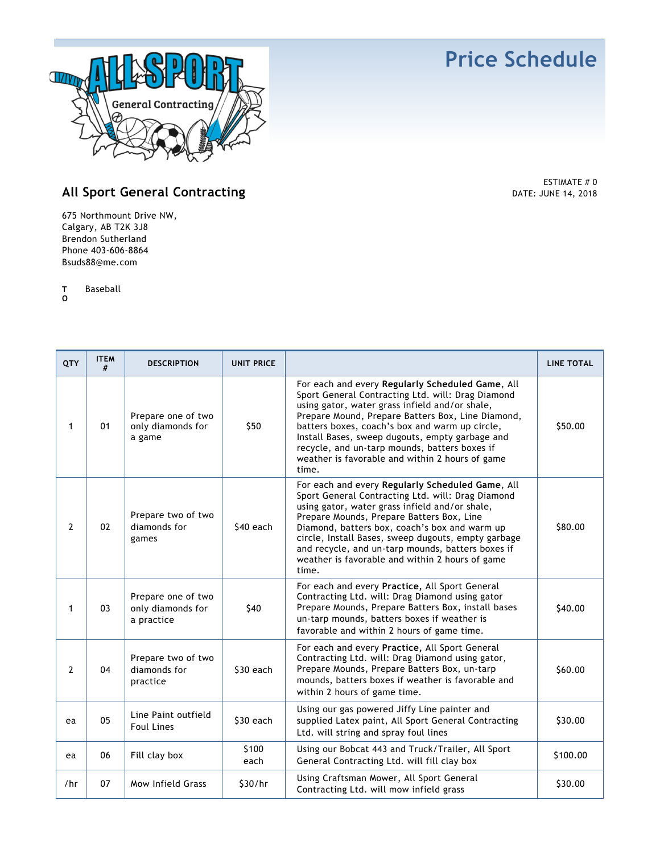## **Price Schedule**



## **All Sport General Contracting**

675 Northmount Drive NW, Calgary, AB T2K 3J8 Brendon Sutherland Phone 403-606-8864 Bsuds88@me.com

**T** Baseball

**O**

| QTY            | <b>ITEM</b><br># | <b>DESCRIPTION</b>                                    | <b>UNIT PRICE</b> |                                                                                                                                                                                                                                                                                                                                                                                                                                | <b>LINE TOTAL</b> |
|----------------|------------------|-------------------------------------------------------|-------------------|--------------------------------------------------------------------------------------------------------------------------------------------------------------------------------------------------------------------------------------------------------------------------------------------------------------------------------------------------------------------------------------------------------------------------------|-------------------|
| 1              | 01               | Prepare one of two<br>only diamonds for<br>a game     | \$50              | For each and every Regularly Scheduled Game, All<br>Sport General Contracting Ltd. will: Drag Diamond<br>using gator, water grass infield and/or shale,<br>Prepare Mound, Prepare Batters Box, Line Diamond,<br>batters boxes, coach's box and warm up circle,<br>Install Bases, sweep dugouts, empty garbage and<br>recycle, and un-tarp mounds, batters boxes if<br>weather is favorable and within 2 hours of game<br>time. | \$50.00           |
| $\overline{2}$ | 02               | Prepare two of two<br>diamonds for<br>games           | \$40 each         | For each and every Regularly Scheduled Game, All<br>Sport General Contracting Ltd. will: Drag Diamond<br>using gator, water grass infield and/or shale,<br>Prepare Mounds, Prepare Batters Box, Line<br>Diamond, batters box, coach's box and warm up<br>circle, Install Bases, sweep dugouts, empty garbage<br>and recycle, and un-tarp mounds, batters boxes if<br>weather is favorable and within 2 hours of game<br>time.  | \$80.00           |
| 1              | 03               | Prepare one of two<br>only diamonds for<br>a practice | \$40              | For each and every Practice, All Sport General<br>Contracting Ltd. will: Drag Diamond using gator<br>Prepare Mounds, Prepare Batters Box, install bases<br>un-tarp mounds, batters boxes if weather is<br>favorable and within 2 hours of game time.                                                                                                                                                                           | \$40.00           |
| $\overline{2}$ | 04               | Prepare two of two<br>diamonds for<br>practice        | \$30 each         | For each and every Practice, All Sport General<br>Contracting Ltd. will: Drag Diamond using gator,<br>Prepare Mounds, Prepare Batters Box, un-tarp<br>mounds, batters boxes if weather is favorable and<br>within 2 hours of game time.                                                                                                                                                                                        | \$60.00           |
| ea             | 05               | Line Paint outfield<br><b>Foul Lines</b>              | \$30 each         | Using our gas powered Jiffy Line painter and<br>supplied Latex paint, All Sport General Contracting<br>Ltd. will string and spray foul lines                                                                                                                                                                                                                                                                                   | \$30.00           |
| ea             | 06               | Fill clay box                                         | \$100<br>each     | Using our Bobcat 443 and Truck/Trailer, All Sport<br>General Contracting Ltd. will fill clay box                                                                                                                                                                                                                                                                                                                               | \$100.00          |
| /hr            | 07               | Mow Infield Grass                                     | \$30/hr           | Using Craftsman Mower, All Sport General<br>Contracting Ltd. will mow infield grass                                                                                                                                                                                                                                                                                                                                            | \$30.00           |

ESTIMATE # 0 DATE: JUNE 14, 2018